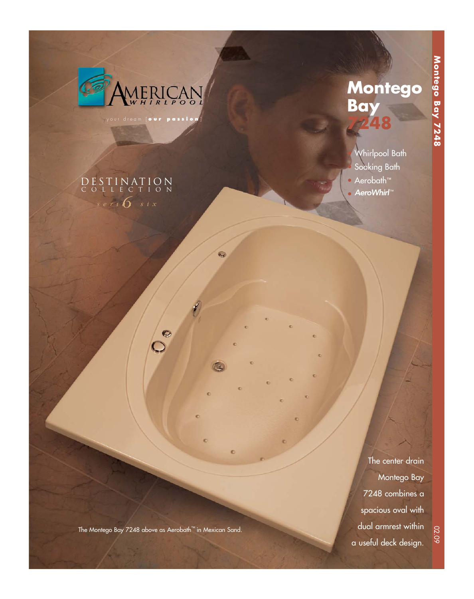

 $s$  eri  $\sigma$  six

DESTINATION COLLECTION

your dream [ **our passion** ]

# **Montego Bay 7248**

• Whirlpool Bath Soaking Bath • Aerobath™ • AeroWhirl™

The center drain Montego Bay 7248 combines a spacious oval with dual armrest within a useful deck design.

The Montego Bay 7248 above as Aerobath™ in Mexican Sand.

 $\circ$ 

c

ö